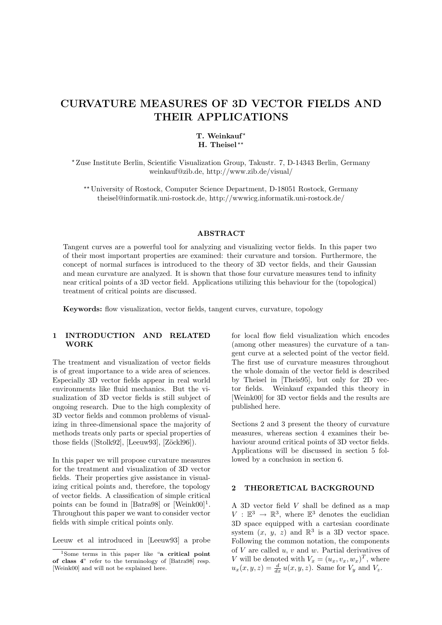# CURVATURE MEASURES OF 3D VECTOR FIELDS AND THEIR APPLICATIONS

### T. Weinkauf\* H. Theisel\*\*

? Zuse Institute Berlin, Scientific Visualization Group, Takustr. 7, D-14343 Berlin, Germany weinkauf@zib.de, http://www.zib.de/visual/

?? University of Rostock, Computer Science Department, D-18051 Rostock, Germany theisel@informatik.uni-rostock.de, http://wwwicg.informatik.uni-rostock.de/

#### ABSTRACT

Tangent curves are a powerful tool for analyzing and visualizing vector fields. In this paper two of their most important properties are examined: their curvature and torsion. Furthermore, the concept of normal surfaces is introduced to the theory of 3D vector fields, and their Gaussian and mean curvature are analyzed. It is shown that those four curvature measures tend to infinity near critical points of a 3D vector field. Applications utilizing this behaviour for the (topological) treatment of critical points are discussed.

Keywords: flow visualization, vector fields, tangent curves, curvature, topology

### 1 INTRODUCTION AND RELATED WORK

The treatment and visualization of vector fields is of great importance to a wide area of sciences. Especially 3D vector fields appear in real world environments like fluid mechanics. But the visualization of 3D vector fields is still subject of ongoing research. Due to the high complexity of 3D vector fields and common problems of visualizing in three-dimensional space the majority of methods treats only parts or special properties of those fields ([Stolk92], [Leeuw93], [Zöckl96]).

In this paper we will propose curvature measures for the treatment and visualization of 3D vector fields. Their properties give assistance in visualizing critical points and, therefore, the topology of vector fields. A classification of simple critical points can be found in [Batra98] or [Weink00]<sup>1</sup>. Throughout this paper we want to consider vector fields with simple critical points only.

Leeuw et al introduced in [Leeuw93] a probe

for local flow field visualization which encodes (among other measures) the curvature of a tangent curve at a selected point of the vector field. The first use of curvature measures throughout the whole domain of the vector field is described by Theisel in [Theis95], but only for 2D vector fields. Weinkauf expanded this theory in [Weink00] for 3D vector fields and the results are published here.

Sections 2 and 3 present the theory of curvature measures, whereas section 4 examines their behaviour around critical points of 3D vector fields. Applications will be discussed in section 5 followed by a conclusion in section 6.

#### 2 THEORETICAL BACKGROUND

A 3D vector field V shall be defined as a map  $V : \mathbb{E}^3 \to \mathbb{R}^3$ , where  $\mathbb{E}^3$  denotes the euclidian 3D space equipped with a cartesian coordinate system  $(x, y, z)$  and  $\mathbb{R}^3$  is a 3D vector space. Following the common notation, the components of  $V$  are called  $u, v$  and  $w$ . Partial derivatives of V will be denoted with  $V_x = (u_x, v_x, w_x)^T$ , where  $u_x(x, y, z) = \frac{d}{dx} u(x, y, z)$ . Same for  $V_y$  and  $V_z$ .

 $1$ Some terms in this paper like "a critical point" of class 4" refer to the terminology of [Batra98] resp. [Weink00] and will not be explained here.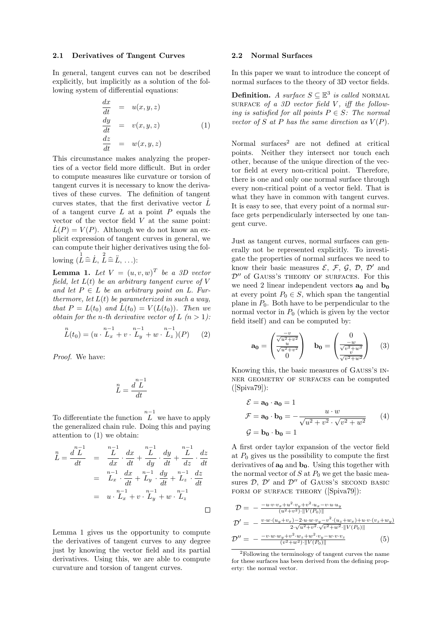#### 2.1 Derivatives of Tangent Curves

In general, tangent curves can not be described explicitly, but implicitly as a solution of the following system of differential equations:

$$
\begin{array}{rcl}\n\frac{dx}{dt} & = & u(x, y, z) \\
\frac{dy}{dt} & = & v(x, y, z) \\
\frac{dz}{dt} & = & w(x, y, z)\n\end{array} \tag{1}
$$

This circumstance makes analyzing the properties of a vector field more difficult. But in order to compute measures like curvature or torsion of tangent curves it is necessary to know the derivatives of these curves. The definition of tangent curves states, that the first derivative vector  $\dot{L}$ of a tangent curve  $L$  at a point  $P$  equals the vector of the vector field  $V$  at the same point:  $\dot{L}(P) = V(P)$ . Although we do not know an explicit expression of tangent curves in general, we can compute their higher derivatives using the following  $(\stackrel{1}{L} \hat{=} \stackrel{1}{L}, \stackrel{2}{L} \hat{=} \stackrel{1}{L}, \ldots)$ :

**Lemma 1.** Let  $V = (u, v, w)^T$  be a 3D vector field, let  $L(t)$  be an arbitrary tangent curve of V and let  $P \in L$  be an arbitrary point on L. Furthermore, let  $L(t)$  be parameterized in such a way, that  $P = L(t_0)$  and  $L(t_0) = V(L(t_0))$ . Then we obtain for the n-th derivative vector of L  $(n > 1)$ :

$$
L(t_0) = (u \cdot L_x^{n-1} + v \cdot L_y^{n-1} + w \cdot L_z)(P) \qquad (2)
$$

Proof. We have:

$$
L^{\frac{n}{L}} = \frac{d^{\frac{n-1}{L}}}{dt}
$$

To differentiate the function  $\overline{L}^{n-1}$  we have to apply the generalized chain rule. Doing this and paying attention to (1) we obtain:

$$
\begin{array}{rcl}\n\stackrel{n}{L} &=& \frac{d^2 L^1}{dt} &=& \frac{n-1}{dx} \cdot \frac{dx}{dt} + \frac{n-1}{dy} \cdot \frac{dy}{dt} + \frac{n-1}{dz} \cdot \frac{dz}{dt} \\
&=& \stackrel{n-1}{L_x} \cdot \frac{dx}{dt} + \stackrel{n-1}{L_y} \cdot \frac{dy}{dt} + \stackrel{n-1}{L_z} \cdot \frac{dz}{dt} \\
&=& u \cdot \stackrel{n-1}{L_x} + v \cdot \stackrel{n-1}{L_y} + w \cdot \stackrel{n-1}{L_z} \\
\Box\n\end{array}
$$

Lemma 1 gives us the opportunity to compute the derivatives of tangent curves to any degree just by knowing the vector field and its partial derivatives. Using this, we are able to compute curvature and torsion of tangent curves.

#### 2.2 Normal Surfaces

In this paper we want to introduce the concept of normal surfaces to the theory of 3D vector fields.

**Definition.** A surface  $S \subseteq \mathbb{E}^3$  is called NORMAL SURFACE of a 3D vector field  $V$ , iff the following is satisfied for all points  $P \in S$ : The normal vector of S at P has the same direction as  $V(P)$ .

Normal surfaces<sup>2</sup> are not defined at critical points. Neither they intersect nor touch each other, because of the unique direction of the vector field at every non-critical point. Therefore, there is one and only one normal surface through every non-critical point of a vector field. That is what they have in common with tangent curves. It is easy to see, that every point of a normal surface gets perpendicularly intersected by one tangent curve.

Just as tangent curves, normal surfaces can generally not be represented explicitly. To investigate the properties of normal surfaces we need to know their basic measures  $\mathcal{E}, \mathcal{F}, \mathcal{G}, \mathcal{D}, \mathcal{D}'$  and  $\mathcal{D}''$  of GAUSS'S THEORY OF SURFACES. For this we need 2 linear independent vectors  $\mathbf{a}_0$  and  $\mathbf{b}_0$ at every point  $P_0 \in S$ , which span the tangential plane in  $P_0$ . Both have to be perpendicular to the normal vector in  $P_0$  (which is given by the vector field itself) and can be computed by:

$$
\mathbf{a_0} = \begin{pmatrix} \frac{-v}{\sqrt{u^2 + v^2}} \\ \frac{u}{\sqrt{u^2 + v^2}} \\ 0 \end{pmatrix} \quad \mathbf{b_0} = \begin{pmatrix} 0 \\ \frac{-w}{\sqrt{v^2 + w^2}} \\ \frac{v}{\sqrt{v^2 + w^2}} \end{pmatrix} \quad (3)
$$

Knowing this, the basic measures of Gauß's inner geometry of surfaces can be computed ([Spiva79]):

$$
\mathcal{E} = \mathbf{a_0} \cdot \mathbf{a_0} = 1
$$
  

$$
\mathcal{F} = \mathbf{a_0} \cdot \mathbf{b_0} = -\frac{u \cdot w}{\sqrt{u^2 + v^2} \cdot \sqrt{v^2 + w^2}}
$$
 (4)  

$$
\mathcal{G} = \mathbf{b_0} \cdot \mathbf{b_0} = 1
$$

A first order taylor expansion of the vector field at  $P_0$  gives us the possibility to compute the first derivatives of  $\mathbf{a}_0$  and  $\mathbf{b}_0$ . Using this together with the normal vector of  $S$  at  $P_0$  we get the basic measures  $D, D'$  and  $D''$  of GAUSS's SECOND BASIC FORM OF SURFACE THEORY ([Spiva79]):

**22** 

$$
\mathcal{D} = -\frac{-u \cdot v \cdot v_x + u^2 \cdot v_y + v^2 \cdot u_x - v \cdot u \cdot u_y}{(u^2 + v^2) \cdot ||V(P_0)||} \n\mathcal{D}' = -\frac{v \cdot w \cdot (u_y + v_x) - 2 \cdot u \cdot w \cdot v_y - v^2 \cdot (u_z + w_x) + u \cdot v \cdot (v_z + w_y)}{2 \cdot \sqrt{u^2 + v^2} \cdot \sqrt{v^2 + w^2} \cdot ||V(P_0)||} \n\mathcal{D}'' = -\frac{-v \cdot w \cdot w_y + v^2 \cdot w_z + w^2 \cdot v_y - w \cdot v \cdot v_z}{(v^2 + w^2) \cdot ||V(P_0)||} \n\tag{5}
$$

<sup>2</sup>Following the terminology of tangent curves the name for these surfaces has been derived from the defining property: the normal vector.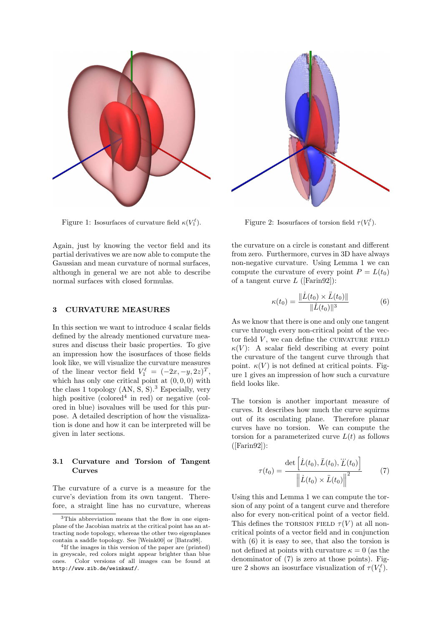

Figure 1: Isosurfaces of curvature field  $\kappa(V_1^{\ell})$ .

Again, just by knowing the vector field and its partial derivatives we are now able to compute the Gaussian and mean curvature of normal surfaces, although in general we are not able to describe normal surfaces with closed formulas.

#### 3 CURVATURE MEASURES

In this section we want to introduce 4 scalar fields defined by the already mentioned curvature measures and discuss their basic properties. To give an impression how the isosurfaces of those fields look like, we will visualize the curvature measures of the linear vector field  $V_1^{\ell} = (-2x, -y, 2z)^T$ , which has only one critical point at  $(0, 0, 0)$  with the class 1 topology  $(AN, S, S)$ .<sup>3</sup> Especially, very high positive (colored<sup>4</sup> in red) or negative (colored in blue) isovalues will be used for this purpose. A detailed description of how the visualization is done and how it can be interpreted will be given in later sections.

# 3.1 Curvature and Torsion of Tangent Curves

The curvature of a curve is a measure for the curve's deviation from its own tangent. Therefore, a straight line has no curvature, whereas



Figure 2: Isosurfaces of torsion field  $\tau(V_1^{\ell})$ .

the curvature on a circle is constant and different from zero. Furthermore, curves in 3D have always non-negative curvature. Using Lemma 1 we can compute the curvature of every point  $P = L(t_0)$ of a tangent curve  $L$  ([Farin92]):

$$
\kappa(t_0) = \frac{\|\dot{L}(t_0) \times \ddot{L}(t_0)\|}{\|\dot{L}(t_0)\|^3}
$$
(6)

As we know that there is one and only one tangent curve through every non-critical point of the vector field  $V$ , we can define the CURVATURE FIELD  $\kappa(V)$ : A scalar field describing at every point the curvature of the tangent curve through that point.  $\kappa(V)$  is not defined at critical points. Figure 1 gives an impression of how such a curvature field looks like.

The torsion is another important measure of curves. It describes how much the curve squirms out of its osculating plane. Therefore planar curves have no torsion. We can compute the torsion for a parameterized curve  $L(t)$  as follows  $([Farin 92]):$ 

$$
\tau(t_0) = \frac{\det\left[\dot{L}(t_0), \ddot{L}(t_0), \dddot{L}(t_0)\right]}{\left\|\dot{L}(t_0) \times \ddot{L}(t_0)\right\|^2} \tag{7}
$$

Using this and Lemma 1 we can compute the torsion of any point of a tangent curve and therefore also for every non-critical point of a vector field. This defines the TORSION FIELD  $\tau(V)$  at all noncritical points of a vector field and in conjunction with (6) it is easy to see, that also the torsion is not defined at points with curvature  $\kappa = 0$  (as the denominator of (7) is zero at those points). Figure 2 shows an isosurface visualization of  $\tau(V_1^{\ell})$ .

<sup>3</sup>This abbreviation means that the flow in one eigenplane of the Jacobian matrix at the critical point has an attracting node topology, whereas the other two eigenplanes contain a saddle topology. See [Weink00] or [Batra98].

<sup>4</sup> If the images in this version of the paper are (printed) in greyscale, red colors might appear brighter than blue ones. Color versions of all images can be found at http://www.zib.de/weinkauf/.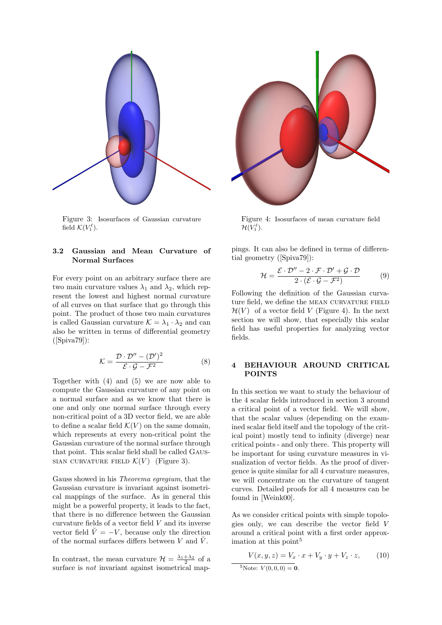

Figure 3: Isosurfaces of Gaussian curvature field  $\mathcal{K}(V_1^{\ell}).$ 

#### 3.2 Gaussian and Mean Curvature of Normal Surfaces

For every point on an arbitrary surface there are two main curvature values  $\lambda_1$  and  $\lambda_2$ , which represent the lowest and highest normal curvature of all curves on that surface that go through this point. The product of those two main curvatures is called Gaussian curvature  $\mathcal{K} = \lambda_1 \cdot \lambda_2$  and can also be written in terms of differential geometry  $(Spiva79)$ :

$$
\mathcal{K} = \frac{\mathcal{D} \cdot \mathcal{D}'' - (\mathcal{D}')^2}{\mathcal{E} \cdot \mathcal{G} - \mathcal{F}^2}
$$
 (8)

Together with (4) and (5) we are now able to compute the Gaussian curvature of any point on a normal surface and as we know that there is one and only one normal surface through every non-critical point of a 3D vector field, we are able to define a scalar field  $\mathcal{K}(V)$  on the same domain, which represents at every non-critical point the Gaussian curvature of the normal surface through that point. This scalar field shall be called Gaus-SIAN CURVATURE FIELD  $\mathcal{K}(V)$  (Figure 3).

Gauss showed in his Theorema egregium, that the Gaussian curvature is invariant against isometrical mappings of the surface. As in general this might be a powerful property, it leads to the fact, that there is no difference between the Gaussian curvature fields of a vector field  $V$  and its inverse vector field  $\check{V} = -V$ , because only the direction of the normal surfaces differs between V and  $\check{V}$ .

In contrast, the mean curvature  $\mathcal{H} = \frac{\lambda_1 + \lambda_2}{2}$  of a surface is *not* invariant against isometrical map-



Figure 4: Isosurfaces of mean curvature field  $\mathcal{H}(V_1^\ell).$ 

pings. It can also be defined in terms of differential geometry ([Spiva79]):

$$
\mathcal{H} = \frac{\mathcal{E} \cdot \mathcal{D}'' - 2 \cdot \mathcal{F} \cdot \mathcal{D}' + \mathcal{G} \cdot \mathcal{D}}{2 \cdot (\mathcal{E} \cdot \mathcal{G} - \mathcal{F}^2)} \tag{9}
$$

Following the definition of the Gaussian curvature field, we define the MEAN CURVATURE FIELD  $\mathcal{H}(V)$  of a vector field V (Figure 4). In the next section we will show, that especially this scalar field has useful properties for analyzing vector fields.

#### 4 BEHAVIOUR AROUND CRITICAL POINTS

In this section we want to study the behaviour of the 4 scalar fields introduced in section 3 around a critical point of a vector field. We will show, that the scalar values (depending on the examined scalar field itself and the topology of the critical point) mostly tend to infinity (diverge) near critical points - and only there. This property will be important for using curvature measures in visualization of vector fields. As the proof of divergence is quite similar for all 4 curvature measures, we will concentrate on the curvature of tangent curves. Detailed proofs for all 4 measures can be found in [Weink00].

As we consider critical points with simple topologies only, we can describe the vector field V around a critical point with a first order approximation at this point 5

$$
V(x, y, z) = V_x \cdot x + V_y \cdot y + V_z \cdot z,
$$
 (10)  
<sup>5</sup>Note:  $V(0, 0, 0) = \mathbf{0}$ .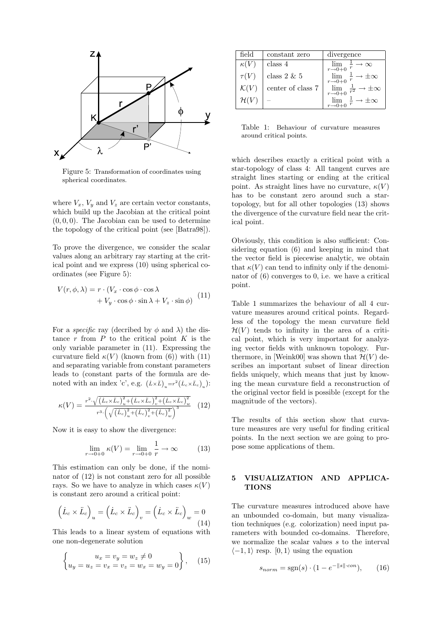

Figure 5: Transformation of coordinates using spherical coordinates.

where  $V_x$ ,  $V_y$  and  $V_z$  are certain vector constants, which build up the Jacobian at the critical point  $(0, 0, 0)$ . The Jacobian can be used to determine the topology of the critical point (see [Batra98]).

To prove the divergence, we consider the scalar values along an arbitrary ray starting at the critical point and we express (10) using spherical coordinates (see Figure 5):

$$
V(r, \phi, \lambda) = r \cdot (V_x \cdot \cos \phi \cdot \cos \lambda + V_y \cdot \cos \phi \cdot \sin \lambda + V_z \cdot \sin \phi)
$$
 (11)

For a *specific* ray (decribed by  $\phi$  and  $\lambda$ ) the distance  $r$  from  $P$  to the critical point  $K$  is the only variable parameter in (11). Expressing the curvature field  $\kappa(V)$  (known from (6)) with (11) and separating variable from constant parameters leads to (constant parts of the formula are denoted with an index 'c', e.g.  $(\dot{L} \times \ddot{L})_u = r^2 (\dot{L}_c \times \ddot{L}_c)_u$ :

$$
\kappa(V) = \frac{r^2 \cdot \sqrt{(\dot{L}_c \times \ddot{L}_c)_u^2 + (\dot{L}_c \times \ddot{L}_c)_v^2 + (\dot{L}_c \times \ddot{L}_c)_w^2}}{r^3 \cdot \left(\sqrt{(\dot{L}_c)_u^2 + (\dot{L}_c)_v^2 + (\dot{L}_c)_w^2}\right)^3}
$$
(12)

Now it is easy to show the divergence:

$$
\lim_{r \to 0+0} \kappa(V) = \lim_{r \to 0+0} \frac{1}{r} \to \infty
$$
 (13)

This estimation can only be done, if the nominator of (12) is not constant zero for all possible rays. So we have to analyze in which cases  $\kappa(V)$ is constant zero around a critical point:

$$
(\dot{L}_c \times \ddot{L}_c)_u = (\dot{L}_c \times \ddot{L}_c)_v = (\dot{L}_c \times \ddot{L}_c)_w = 0
$$
\n(14)

This leads to a linear system of equations with one non-degenerate solution

$$
\begin{cases}\nu_x = v_y = w_z \neq 0 \\
u_y = u_z = v_x = v_z = w_x = w_y = 0\n\end{cases}, (15)
$$

| field            | constant zero     | divergence                                            |
|------------------|-------------------|-------------------------------------------------------|
| $\kappa$ ( )     | class 4           | $\lim_{r\to 0+0}$<br>$\rightarrow \infty$             |
| $\tau(V)$        | class $2 \& 5$    | $\rightarrow \pm \infty$<br>$r\rightarrow 0+0$        |
| $\mathcal{K}(V)$ | center of class 7 | $\lim_{r\to 0+0}$<br>$*\pm\infty$<br>$\overline{r^2}$ |
| $\mathcal{H}(V)$ |                   |                                                       |

Table 1: Behaviour of curvature measures around critical points.

which describes exactly a critical point with a star-topology of class 4: All tangent curves are straight lines starting or ending at the critical point. As straight lines have no curvature,  $\kappa(V)$ has to be constant zero around such a startopology, but for all other topologies (13) shows the divergence of the curvature field near the critical point.

Obviously, this condition is also sufficient: Considering equation (6) and keeping in mind that the vector field is piecewise analytic, we obtain that  $\kappa(V)$  can tend to infinity only if the denominator of (6) converges to 0, i.e. we have a critical point.

Table 1 summarizes the behaviour of all 4 curvature measures around critical points. Regardless of the topology the mean curvature field  $\mathcal{H}(V)$  tends to infinity in the area of a critical point, which is very important for analyzing vector fields with unknown topology. Furthermore, in [Weink00] was shown that  $\mathcal{H}(V)$  describes an important subset of linear direction fields uniquely, which means that just by knowing the mean curvature field a reconstruction of the original vector field is possible (except for the magnitude of the vectors).

The results of this section show that curvature measures are very useful for finding critical points. In the next section we are going to propose some applications of them.

#### 5 VISUALIZATION AND APPLICA-**TIONS**

The curvature measures introduced above have an unbounded co-domain, but many visualization techniques (e.g. colorization) need input parameters with bounded co-domains. Therefore, we normalize the scalar values s to the interval  $\langle -1, 1 \rangle$  resp.  $[0, 1 \rangle$  using the equation

$$
s_{norm} = \text{sgn}(s) \cdot (1 - e^{-\|s\| \cdot con}), \qquad (16)
$$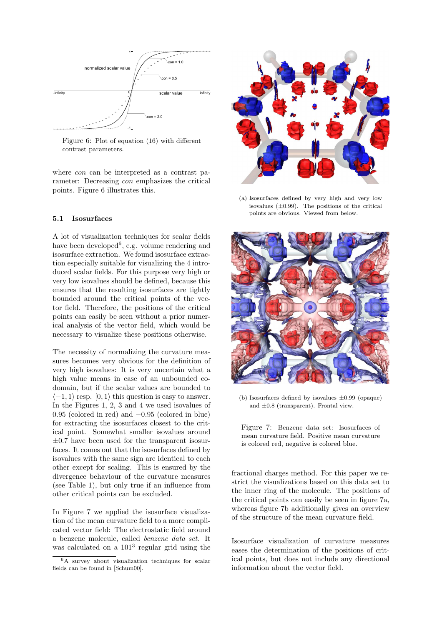

Figure 6: Plot of equation (16) with different contrast parameters.

where *con* can be interpreted as a contrast parameter: Decreasing con emphasizes the critical points. Figure 6 illustrates this.

#### 5.1 Isosurfaces

A lot of visualization techniques for scalar fields have been developed<sup>6</sup>, e.g. volume rendering and isosurface extraction. We found isosurface extraction especially suitable for visualizing the 4 introduced scalar fields. For this purpose very high or very low isovalues should be defined, because this ensures that the resulting isosurfaces are tightly bounded around the critical points of the vector field. Therefore, the positions of the critical points can easily be seen without a prior numerical analysis of the vector field, which would be necessary to visualize these positions otherwise.

The necessity of normalizing the curvature measures becomes very obvious for the definition of very high isovalues: It is very uncertain what a high value means in case of an unbounded codomain, but if the scalar values are bounded to  $\langle -1, 1 \rangle$  resp.  $[0, 1 \rangle$  this question is easy to answer. In the Figures 1, 2, 3 and 4 we used isovalues of 0.95 (colored in red) and −0.95 (colored in blue) for extracting the isosurfaces closest to the critical point. Somewhat smaller isovalues around  $\pm 0.7$  have been used for the transparent isosurfaces. It comes out that the isosurfaces defined by isovalues with the same sign are identical to each other except for scaling. This is ensured by the divergence behaviour of the curvature measures (see Table 1), but only true if an influence from other critical points can be excluded.

In Figure 7 we applied the isosurface visualization of the mean curvature field to a more complicated vector field: The electrostatic field around a benzene molecule, called benzene data set. It was calculated on a  $101<sup>3</sup>$  regular grid using the



(a) Isosurfaces defined by very high and very low isovalues  $(\pm 0.99)$ . The positions of the critical points are obvious. Viewed from below.



(b) Isosurfaces defined by isovalues  $\pm 0.99$  (opaque) and  $\pm 0.8$  (transparent). Frontal view.

Figure 7: Benzene data set: Isosurfaces of mean curvature field. Positive mean curvature is colored red, negative is colored blue.

fractional charges method. For this paper we restrict the visualizations based on this data set to the inner ring of the molecule. The positions of the critical points can easily be seen in figure 7a, whereas figure 7b additionally gives an overview of the structure of the mean curvature field.

Isosurface visualization of curvature measures eases the determination of the positions of critical points, but does not include any directional information about the vector field.

<sup>6</sup>A survey about visualization techniques for scalar fields can be found in [Schum00].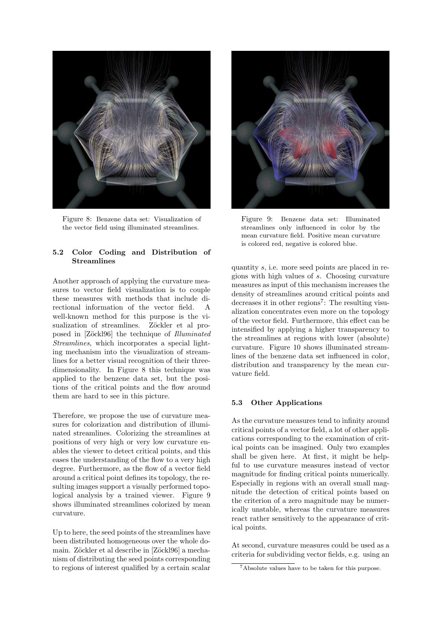

Figure 8: Benzene data set: Visualization of the vector field using illuminated streamlines.

### 5.2 Color Coding and Distribution of **Streamlines**

Another approach of applying the curvature measures to vector field visualization is to couple these measures with methods that include directional information of the vector field. A well-known method for this purpose is the visualization of streamlines. Zöckler et al proposed in [Zöckl96] the technique of *Illuminated* Streamlines, which incorporates a special lighting mechanism into the visualization of streamlines for a better visual recognition of their threedimensionality. In Figure 8 this technique was applied to the benzene data set, but the positions of the critical points and the flow around them are hard to see in this picture.

Therefore, we propose the use of curvature measures for colorization and distribution of illuminated streamlines. Colorizing the streamlines at positions of very high or very low curvature enables the viewer to detect critical points, and this eases the understanding of the flow to a very high degree. Furthermore, as the flow of a vector field around a critical point defines its topology, the resulting images support a visually performed topological analysis by a trained viewer. Figure 9 shows illuminated streamlines colorized by mean curvature.

Up to here, the seed points of the streamlines have been distributed homogeneous over the whole domain. Zöckler et al describe in [Zöckl96] a mechanism of distributing the seed points corresponding to regions of interest qualified by a certain scalar



Figure 9: Benzene data set: Illuminated streamlines only influenced in color by the mean curvature field. Positive mean curvature is colored red, negative is colored blue.

quantity s, i.e. more seed points are placed in regions with high values of s. Choosing curvature measures as input of this mechanism increases the density of streamlines around critical points and decreases it in other regions<sup>7</sup>: The resulting visualization concentrates even more on the topology of the vector field. Furthermore, this effect can be intensified by applying a higher transparency to the streamlines at regions with lower (absolute) curvature. Figure 10 shows illuminated streamlines of the benzene data set influenced in color, distribution and transparency by the mean curvature field.

# 5.3 Other Applications

As the curvature measures tend to infinity around critical points of a vector field, a lot of other applications corresponding to the examination of critical points can be imagined. Only two examples shall be given here. At first, it might be helpful to use curvature measures instead of vector magnitude for finding critical points numerically. Especially in regions with an overall small magnitude the detection of critical points based on the criterion of a zero magnitude may be numerically unstable, whereas the curvature measures react rather sensitively to the appearance of critical points.

At second, curvature measures could be used as a criteria for subdividing vector fields, e.g. using an

<sup>7</sup>Absolute values have to be taken for this purpose.